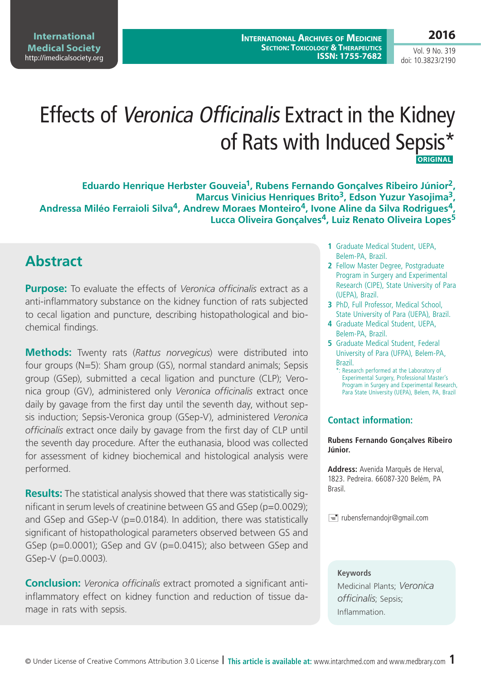**International Medical Society**  http://imedicalsociety.org

**International Archives of Medicine SECTION: TOXICOLOGY & THERAPEUTICS ISSN: 1755-7682**

Vol. 9 No. 319 doi: 10.3823/2190

# Effects of Veronica Officinalis Extract in the Kidney of Rats with Induced Sepsis\*  **ORIGINAL**

**Eduardo Henrique Herbster Gouveia1, Rubens Fernando Gonçalves Ribeiro Júnior2, Marcus Vinicius Henriques Brito3, Edson Yuzur Yasojima3, Andressa Miléo Ferraioli Silva4, Andrew Moraes Monteiro4, Ivone Aline da Silva Rodrigues4, Lucca Oliveira Gonçalves4, Luiz Renato Oliveira Lopes5**

### **Abstract**

**Purpose:** To evaluate the effects of *Veronica officinalis* extract as a anti-inflammatory substance on the kidney function of rats subjected to cecal ligation and puncture, describing histopathological and biochemical findings.

**Methods:** Twenty rats (*Rattus norvegicus*) were distributed into four groups (N=5): Sham group (GS), normal standard animals; Sepsis group (GSep), submitted a cecal ligation and puncture (CLP); Veronica group (GV), administered only *Veronica officinalis* extract once daily by gavage from the first day until the seventh day, without sepsis induction; Sepsis-Veronica group (GSep-V), administered *Veronica officinalis* extract once daily by gavage from the first day of CLP until the seventh day procedure. After the euthanasia, blood was collected for assessment of kidney biochemical and histological analysis were performed.

**Results:** The statistical analysis showed that there was statistically significant in serum levels of creatinine between GS and GSep (p=0.0029); and GSep and GSep-V (p=0.0184). In addition, there was statistically significant of histopathological parameters observed between GS and GSep (p=0.0001); GSep and GV (p=0.0415); also between GSep and GSep-V (p=0.0003).

**Conclusion:** *Veronica officinalis* extract promoted a significant antiinflammatory effect on kidney function and reduction of tissue damage in rats with sepsis.

- **1** Graduate Medical Student, UEPA, Belem-PA, Brazil.
- **2** Fellow Master Degree, Postgraduate Program in Surgery and Experimental Research (CIPE), State University of Para (UEPA), Brazil.
- **3** PhD, Full Professor, Medical School, State University of Para (UEPA), Brazil.
- **4** Graduate Medical Student, UEPA, Belem-PA, Brazil.
- **5** Graduate Medical Student, Federal University of Para (UFPA), Belem-PA, Brazil.
	- \*: Research performed at the Laboratory of Experimental Surgery, Professional Master's Program in Surgery and Experimental Research, Para State University (UEPA), Belem, PA, Brazil

#### **Contact information:**

**Rubens Fernando Gonçalves Ribeiro Júnior.**

**Address:** Avenida Marquês de Herval, 1823. Pedreira. 66087-320 Belém, PA Brasil.

 $\equiv$  rubensfernandojr@gmail.com

#### **Keywords**

Medicinal Plants; *Veronica officinalis*; Sepsis; Inflammation.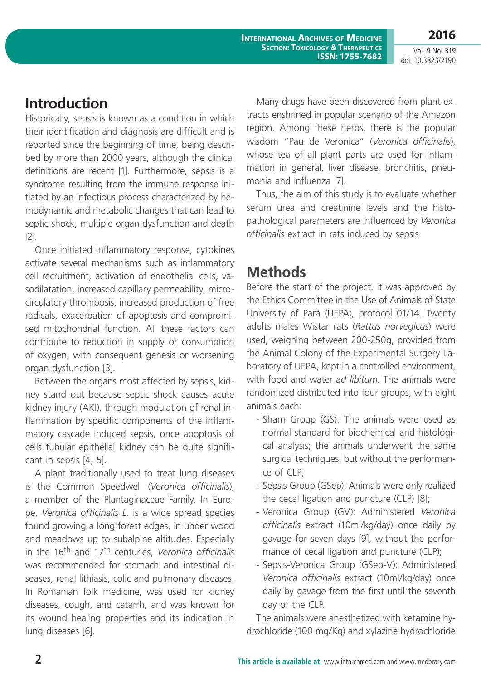**2016**

Vol. 9 No. 319 doi: 10.3823/2190

## **Introduction**

Historically, sepsis is known as a condition in which their identification and diagnosis are difficult and is reported since the beginning of time, being described by more than 2000 years, although the clinical definitions are recent [1]. Furthermore, sepsis is a syndrome resulting from the immune response initiated by an infectious process characterized by hemodynamic and metabolic changes that can lead to septic shock, multiple organ dysfunction and death [2].

Once initiated inflammatory response, cytokines activate several mechanisms such as inflammatory cell recruitment, activation of endothelial cells, vasodilatation, increased capillary permeability, microcirculatory thrombosis, increased production of free radicals, exacerbation of apoptosis and compromised mitochondrial function. All these factors can contribute to reduction in supply or consumption of oxygen, with consequent genesis or worsening organ dysfunction [3].

Between the organs most affected by sepsis, kidney stand out because septic shock causes acute kidney injury (AKI), through modulation of renal inflammation by specific components of the inflammatory cascade induced sepsis, once apoptosis of cells tubular epithelial kidney can be quite significant in sepsis [4, 5].

A plant traditionally used to treat lung diseases is the Common Speedwell (*Veronica officinalis*), a member of the Plantaginaceae Family. In Europe, *Veronica officinalis L*. is a wide spread species found growing a long forest edges, in under wood and meadows up to subalpine altitudes. Especially in the 16th and 17th centuries, *Veronica officinalis* was recommended for stomach and intestinal diseases, renal lithiasis, colic and pulmonary diseases. In Romanian folk medicine, was used for kidney diseases, cough, and catarrh, and was known for its wound healing properties and its indication in lung diseases [6].

Many drugs have been discovered from plant extracts enshrined in popular scenario of the Amazon region. Among these herbs, there is the popular wisdom "Pau de Veronica" (*Veronica officinalis*), whose tea of all plant parts are used for inflammation in general, liver disease, bronchitis, pneumonia and influenza [7].

Thus, the aim of this study is to evaluate whether serum urea and creatinine levels and the histopathological parameters are influenced by *Veronica officinalis* extract in rats induced by sepsis.

## **Methods**

Before the start of the project, it was approved by the Ethics Committee in the Use of Animals of State University of Pará (UEPA), protocol 01/14. Twenty adults males Wistar rats (*Rattus norvegicus*) were used, weighing between 200-250g, provided from the Animal Colony of the Experimental Surgery Laboratory of UEPA, kept in a controlled environment, with food and water *ad libitum*. The animals were randomized distributed into four groups, with eight animals each:

- Sham Group (GS): The animals were used as normal standard for biochemical and histological analysis; the animals underwent the same surgical techniques, but without the performance of CLP;
- Sepsis Group (GSep): Animals were only realized the cecal ligation and puncture (CLP) [8];
- Veronica Group (GV): Administered *Veronica officinalis* extract (10ml/kg/day) once daily by gavage for seven days [9], without the performance of cecal ligation and puncture (CLP);
- Sepsis-Veronica Group (GSep-V): Administered *Veronica officinalis* extract (10ml/kg/day) once daily by gavage from the first until the seventh day of the CLP.

The animals were anesthetized with ketamine hydrochloride (100 mg/Kg) and xylazine hydrochloride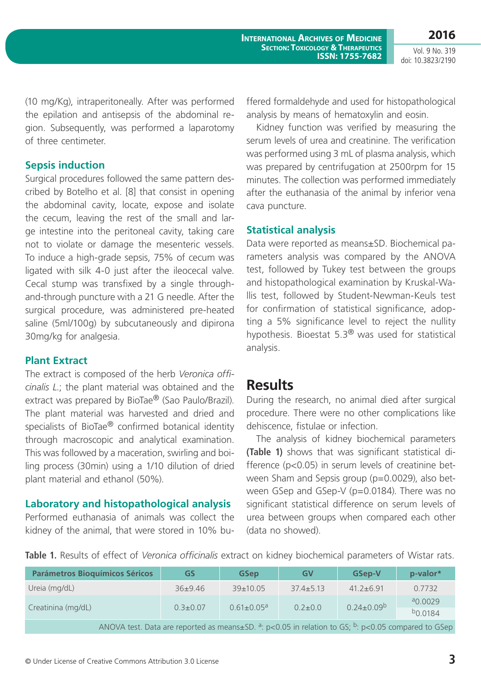**International Archives of Medicine SECTION: TOXICOLOGY & THERAPEUTICS ISSN: 1755-7682**

Vol. 9 No. 319 doi: 10.3823/2190

(10 mg/Kg), intraperitoneally. After was performed the epilation and antisepsis of the abdominal region. Subsequently, was performed a laparotomy of three centimeter.

#### **Sepsis induction**

Surgical procedures followed the same pattern described by Botelho et al. [8] that consist in opening the abdominal cavity, locate, expose and isolate the cecum, leaving the rest of the small and large intestine into the peritoneal cavity, taking care not to violate or damage the mesenteric vessels. To induce a high-grade sepsis, 75% of cecum was ligated with silk 4-0 just after the ileocecal valve. Cecal stump was transfixed by a single throughand-through puncture with a 21 G needle. After the surgical procedure, was administered pre-heated saline (5ml/100g) by subcutaneously and dipirona 30mg/kg for analgesia.

#### **Plant Extract**

The extract is composed of the herb *Veronica officinalis L.*; the plant material was obtained and the extract was prepared by BioTae<sup>®</sup> (Sao Paulo/Brazil). The plant material was harvested and dried and specialists of BioTae® confirmed botanical identity through macroscopic and analytical examination. This was followed by a maceration, swirling and boiling process (30min) using a 1/10 dilution of dried plant material and ethanol (50%).

#### **Laboratory and histopathological analysis**

Performed euthanasia of animals was collect the kidney of the animal, that were stored in 10% buffered formaldehyde and used for histopathological analysis by means of hematoxylin and eosin.

Kidney function was verified by measuring the serum levels of urea and creatinine. The verification was performed using 3 mL of plasma analysis, which was prepared by centrifugation at 2500rpm for 15 minutes. The collection was performed immediately after the euthanasia of the animal by inferior vena cava puncture.

#### **Statistical analysis**

Data were reported as means±SD. Biochemical parameters analysis was compared by the ANOVA test, followed by Tukey test between the groups and histopathological examination by Kruskal-Wallis test, followed by Student-Newman-Keuls test for confirmation of statistical significance, adopting a 5% significance level to reject the nullity hypothesis. Bioestat 5.3® was used for statistical analysis.

### **Results**

During the research, no animal died after surgical procedure. There were no other complications like dehiscence, fistulae or infection.

The analysis of kidney biochemical parameters **(Table 1)** shows that was significant statistical difference (p<0.05) in serum levels of creatinine between Sham and Sepsis group (p=0.0029), also between GSep and GSep-V (p=0.0184). There was no significant statistical difference on serum levels of urea between groups when compared each other (data no showed).

**Table 1.** Results of effect of *Veronica officinalis* extract on kidney biochemical parameters of Wistar rats.

| <b>Parámetros Bioquímicos Séricos</b>                                                                                            | <b>GS</b>      | <b>GSep</b>                  | <b>GV</b>     | <b>GSep-V</b>     | p-valor*     |  |  |
|----------------------------------------------------------------------------------------------------------------------------------|----------------|------------------------------|---------------|-------------------|--------------|--|--|
| Ureia (mg/dL)                                                                                                                    | $36+9.46$      | $39+10.05$                   | $37.4 + 5.13$ | $41.2 + 6.91$     | 0.7732       |  |  |
| Creatinina (mg/dL)                                                                                                               | $0.3 \pm 0.07$ | $0.61 \pm 0.05$ <sup>a</sup> | $0.2 \pm 0.0$ | $0.24 \pm 0.09^b$ | $a_{0.0029}$ |  |  |
|                                                                                                                                  |                |                              |               |                   | $b_{0.0184}$ |  |  |
| ANOVA test. Data are reported as means $\pm$ SD. <sup>a</sup> : p<0.05 in relation to GS; <sup>b</sup> : p<0.05 compared to GSep |                |                              |               |                   |              |  |  |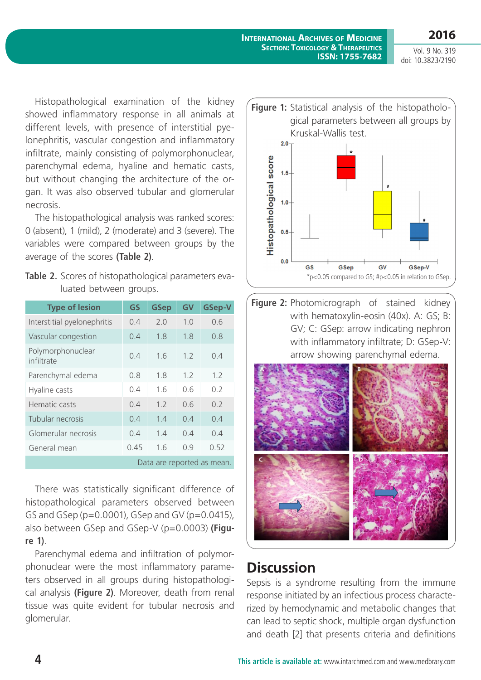**2016**

Vol. 9 No. 319 doi: 10.3823/2190

Histopathological examination of the kidney showed inflammatory response in all animals at different levels, with presence of interstitial pyelonephritis, vascular congestion and inflammatory infiltrate, mainly consisting of polymorphonuclear, parenchymal edema, hyaline and hematic casts, but without changing the architecture of the organ. It was also observed tubular and glomerular necrosis.

The histopathological analysis was ranked scores: 0 (absent), 1 (mild), 2 (moderate) and 3 (severe). The variables were compared between groups by the average of the scores **(Table 2)**.

| <b>Table 2.</b> Scores of histopathological parameters eva- |  |
|-------------------------------------------------------------|--|
| luated between groups.                                      |  |

| <b>Type of lesion</b>           | <b>GS</b> | <b>GSep</b> | GV  | <b>GSep-V</b> |  |  |
|---------------------------------|-----------|-------------|-----|---------------|--|--|
| Interstitial pyelonephritis     | 0.4       | 2.0         | 1.0 | 0.6           |  |  |
| Vascular congestion             | 0.4       | 1.8         | 1.8 | 0.8           |  |  |
| Polymorphonuclear<br>infiltrate | 0.4       | 1.6         | 1.2 | 0.4           |  |  |
| Parenchymal edema               | 0.8       | 1.8         | 1.2 | 1.2           |  |  |
| Hyaline casts                   | 0.4       | 1.6         | 06  | 0.2           |  |  |
| Hematic casts                   | 0.4       | 1.2         | 06  | 0.2           |  |  |
| Tubular necrosis                | 0.4       | 1.4         | 0.4 | 0.4           |  |  |
| Glomerular necrosis             | 0.4       | 1.4         | 0.4 | 0.4           |  |  |
| General mean                    | 0.45      | 1.6         | 0.9 | 0.52          |  |  |
| Data are reported as mean.      |           |             |     |               |  |  |

There was statistically significant difference of histopathological parameters observed between GS and GSep (p=0.0001), GSep and GV (p=0.0415), also between GSep and GSep-V (p=0.0003) **(Figure 1)**.

Parenchymal edema and infiltration of polymorphonuclear were the most inflammatory parameters observed in all groups during histopathological analysis **(Figure 2)**. Moreover, death from renal tissue was quite evident for tubular necrosis and glomerular.



**Figure 2:** Photomicrograph of stained kidney with hematoxylin-eosin (40x). A: GS; B: GV; C: GSep: arrow indicating nephron with inflammatory infiltrate; D: GSep-V: arrow showing parenchymal edema.



## **Discussion**

Sepsis is a syndrome resulting from the immune response initiated by an infectious process characterized by hemodynamic and metabolic changes that can lead to septic shock, multiple organ dysfunction and death [2] that presents criteria and definitions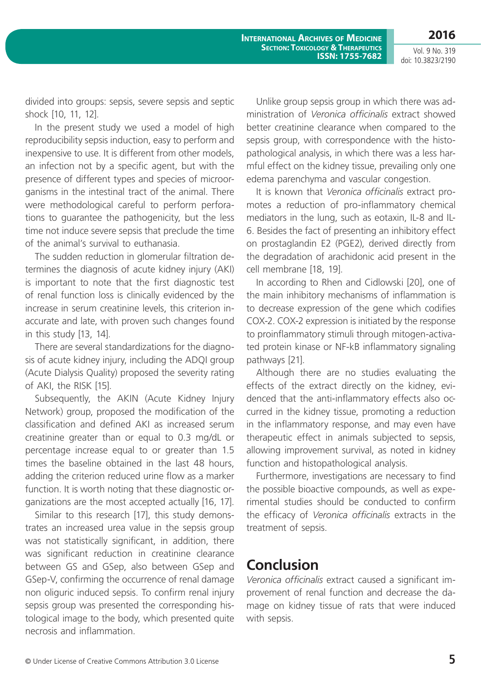Vol. 9 No. 319 doi: 10.3823/2190

divided into groups: sepsis, severe sepsis and septic shock [10, 11, 12].

In the present study we used a model of high reproducibility sepsis induction, easy to perform and inexpensive to use. It is different from other models, an infection not by a specific agent, but with the presence of different types and species of microorganisms in the intestinal tract of the animal. There were methodological careful to perform perforations to guarantee the pathogenicity, but the less time not induce severe sepsis that preclude the time of the animal's survival to euthanasia.

The sudden reduction in glomerular filtration determines the diagnosis of acute kidney injury (AKI) is important to note that the first diagnostic test of renal function loss is clinically evidenced by the increase in serum creatinine levels, this criterion inaccurate and late, with proven such changes found in this study [13, 14].

There are several standardizations for the diagnosis of acute kidney injury, including the ADQI group (Acute Dialysis Quality) proposed the severity rating of AKI, the RISK [15].

Subsequently, the AKIN (Acute Kidney Injury Network) group, proposed the modification of the classification and defined AKI as increased serum creatinine greater than or equal to 0.3 mg/dL or percentage increase equal to or greater than 1.5 times the baseline obtained in the last 48 hours, adding the criterion reduced urine flow as a marker function. It is worth noting that these diagnostic organizations are the most accepted actually [16, 17].

Similar to this research [17], this study demonstrates an increased urea value in the sepsis group was not statistically significant, in addition, there was significant reduction in creatinine clearance between GS and GSep, also between GSep and GSep-V, confirming the occurrence of renal damage non oliguric induced sepsis. To confirm renal injury sepsis group was presented the corresponding histological image to the body, which presented quite necrosis and inflammation.

Unlike group sepsis group in which there was administration of *Veronica officinalis* extract showed better creatinine clearance when compared to the sepsis group, with correspondence with the histopathological analysis, in which there was a less harmful effect on the kidney tissue, prevailing only one edema parenchyma and vascular congestion.

It is known that *Veronica officinalis* extract promotes a reduction of pro-inflammatory chemical mediators in the lung, such as eotaxin, IL-8 and IL-6. Besides the fact of presenting an inhibitory effect on prostaglandin E2 (PGE2), derived directly from the degradation of arachidonic acid present in the cell membrane [18, 19].

In according to Rhen and Cidlowski [20], one of the main inhibitory mechanisms of inflammation is to decrease expression of the gene which codifies COX-2. COX-2 expression is initiated by the response to proinflammatory stimuli through mitogen-activated protein kinase or NF-kB inflammatory signaling pathways [21].

Although there are no studies evaluating the effects of the extract directly on the kidney, evidenced that the anti-inflammatory effects also occurred in the kidney tissue, promoting a reduction in the inflammatory response, and may even have therapeutic effect in animals subjected to sepsis, allowing improvement survival, as noted in kidney function and histopathological analysis.

Furthermore, investigations are necessary to find the possible bioactive compounds, as well as experimental studies should be conducted to confirm the efficacy of *Veronica officinalis* extracts in the treatment of sepsis.

### **Conclusion**

*Veronica officinalis* extract caused a significant improvement of renal function and decrease the damage on kidney tissue of rats that were induced with sepsis.